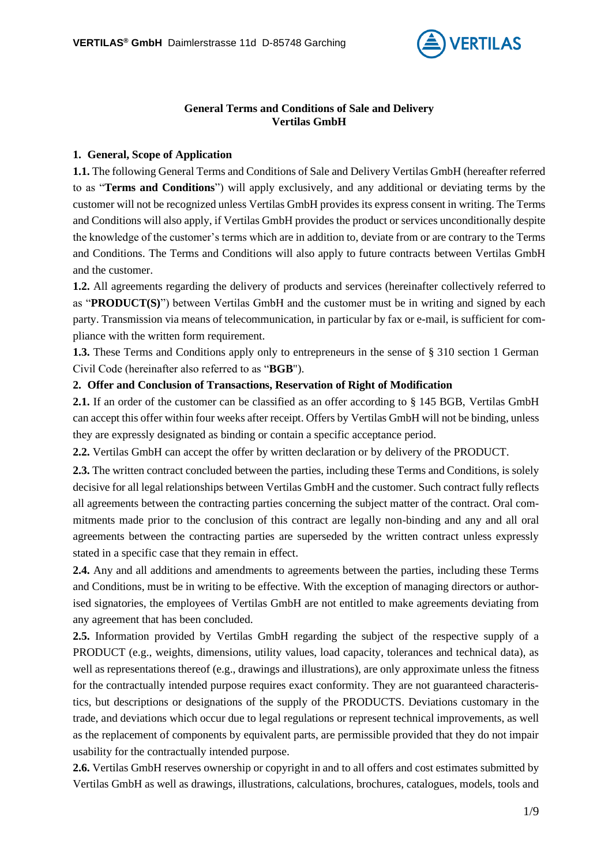

#### **General Terms and Conditions of Sale and Delivery Vertilas GmbH**

## **1. General, Scope of Application**

**1.1.** The following General Terms and Conditions of Sale and Delivery Vertilas GmbH (hereafter referred to as "**Terms and Conditions**") will apply exclusively, and any additional or deviating terms by the customer will not be recognized unless Vertilas GmbH provides its express consent in writing. The Terms and Conditions will also apply, if Vertilas GmbH provides the product or services unconditionally despite the knowledge of the customer's terms which are in addition to, deviate from or are contrary to the Terms and Conditions. The Terms and Conditions will also apply to future contracts between Vertilas GmbH and the customer.

**1.2.** All agreements regarding the delivery of products and services (hereinafter collectively referred to as "**PRODUCT(S)**") between Vertilas GmbH and the customer must be in writing and signed by each party. Transmission via means of telecommunication, in particular by fax or e-mail, is sufficient for compliance with the written form requirement.

**1.3.** These Terms and Conditions apply only to entrepreneurs in the sense of § 310 section 1 German Civil Code (hereinafter also referred to as "**BGB**").

## **2. Offer and Conclusion of Transactions, Reservation of Right of Modification**

**2.1.** If an order of the customer can be classified as an offer according to § 145 BGB, Vertilas GmbH can accept this offer within four weeks after receipt. Offers by Vertilas GmbH will not be binding, unless they are expressly designated as binding or contain a specific acceptance period.

**2.2.** Vertilas GmbH can accept the offer by written declaration or by delivery of the PRODUCT.

**2.3.** The written contract concluded between the parties, including these Terms and Conditions, is solely decisive for all legal relationships between Vertilas GmbH and the customer. Such contract fully reflects all agreements between the contracting parties concerning the subject matter of the contract. Oral commitments made prior to the conclusion of this contract are legally non-binding and any and all oral agreements between the contracting parties are superseded by the written contract unless expressly stated in a specific case that they remain in effect.

**2.4.** Any and all additions and amendments to agreements between the parties, including these Terms and Conditions, must be in writing to be effective. With the exception of managing directors or authorised signatories, the employees of Vertilas GmbH are not entitled to make agreements deviating from any agreement that has been concluded.

**2.5.** Information provided by Vertilas GmbH regarding the subject of the respective supply of a PRODUCT (e.g., weights, dimensions, utility values, load capacity, tolerances and technical data), as well as representations thereof (e.g., drawings and illustrations), are only approximate unless the fitness for the contractually intended purpose requires exact conformity. They are not guaranteed characteristics, but descriptions or designations of the supply of the PRODUCTS. Deviations customary in the trade, and deviations which occur due to legal regulations or represent technical improvements, as well as the replacement of components by equivalent parts, are permissible provided that they do not impair usability for the contractually intended purpose.

**2.6.** Vertilas GmbH reserves ownership or copyright in and to all offers and cost estimates submitted by Vertilas GmbH as well as drawings, illustrations, calculations, brochures, catalogues, models, tools and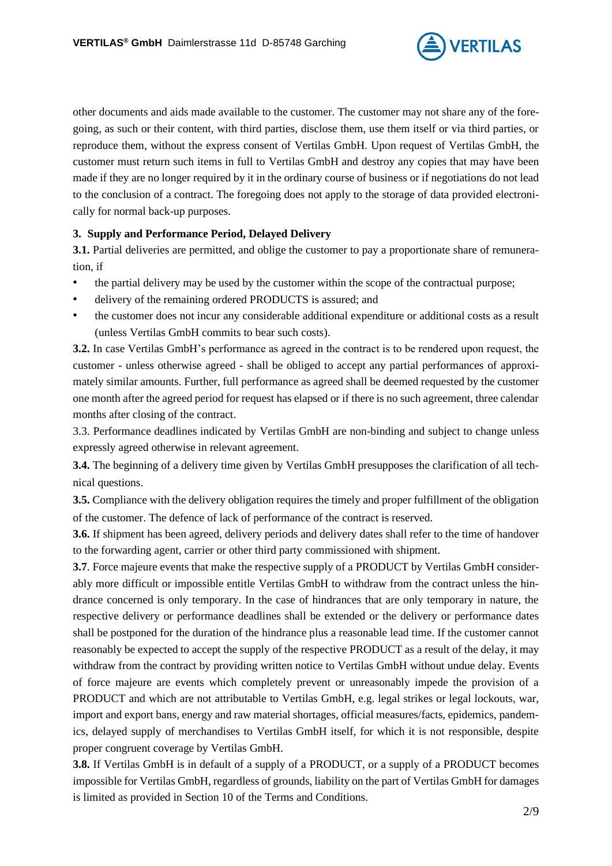

other documents and aids made available to the customer. The customer may not share any of the foregoing, as such or their content, with third parties, disclose them, use them itself or via third parties, or reproduce them, without the express consent of Vertilas GmbH. Upon request of Vertilas GmbH, the customer must return such items in full to Vertilas GmbH and destroy any copies that may have been made if they are no longer required by it in the ordinary course of business or if negotiations do not lead to the conclusion of a contract. The foregoing does not apply to the storage of data provided electronically for normal back-up purposes.

## **3. Supply and Performance Period, Delayed Delivery**

**3.1.** Partial deliveries are permitted, and oblige the customer to pay a proportionate share of remuneration, if

- the partial delivery may be used by the customer within the scope of the contractual purpose;
- delivery of the remaining ordered PRODUCTS is assured; and
- the customer does not incur any considerable additional expenditure or additional costs as a result (unless Vertilas GmbH commits to bear such costs).

**3.2.** In case Vertilas GmbH's performance as agreed in the contract is to be rendered upon request, the customer - unless otherwise agreed - shall be obliged to accept any partial performances of approximately similar amounts. Further, full performance as agreed shall be deemed requested by the customer one month after the agreed period for request has elapsed or if there is no such agreement, three calendar months after closing of the contract.

3.3. Performance deadlines indicated by Vertilas GmbH are non-binding and subject to change unless expressly agreed otherwise in relevant agreement.

**3.4.** The beginning of a delivery time given by Vertilas GmbH presupposes the clarification of all technical questions.

**3.5.** Compliance with the delivery obligation requires the timely and proper fulfillment of the obligation of the customer. The defence [of](http://dict.leo.org/ende/index_de.html#/search=of&searchLoc=0&resultOrder=basic&multiwordShowSingle=on§Hdr=on) [lack](http://dict.leo.org/ende/index_de.html#/search=lack&searchLoc=0&resultOrder=basic&multiwordShowSingle=on§Hdr=on) [of](http://dict.leo.org/ende/index_de.html#/search=of&searchLoc=0&resultOrder=basic&multiwordShowSingle=on§Hdr=on) [performance](http://dict.leo.org/ende/index_de.html#/search=performance&searchLoc=0&resultOrder=basic&multiwordShowSingle=on§Hdr=on) [of](http://dict.leo.org/ende/index_de.html#/search=of&searchLoc=0&resultOrder=basic&multiwordShowSingle=on§Hdr=on) [the](http://dict.leo.org/ende/index_de.html#/search=the&searchLoc=0&resultOrder=basic&multiwordShowSingle=on§Hdr=on) [contract](http://dict.leo.org/ende/index_de.html#/search=contract&searchLoc=0&resultOrder=basic&multiwordShowSingle=on§Hdr=on) is reserved.

**3.6.** If shipment has been agreed, delivery periods and delivery dates shall refer to the time of handover to the forwarding agent, carrier or other third party commissioned with shipment.

**3.7**. Force majeure events that make the respective supply of a PRODUCT by Vertilas GmbH considerably more difficult or impossible entitle Vertilas GmbH to withdraw from the contract unless the hindrance concerned is only temporary. In the case of hindrances that are only temporary in nature, the respective delivery or performance deadlines shall be extended or the delivery or performance dates shall be postponed for the duration of the hindrance plus a reasonable lead time. If the customer cannot reasonably be expected to accept the supply of the respective PRODUCT as a result of the delay, it may withdraw from the contract by providing written notice to Vertilas GmbH without undue delay. Events of force majeure are events which completely prevent or unreasonably impede the provision of a PRODUCT and which are not attributable to Vertilas GmbH, e.g. legal strikes or legal lockouts, war, import and export bans, energy and raw material shortages, official measures/facts, epidemics, pandemics, delayed supply of merchandises to Vertilas GmbH itself, for which it is not responsible, despite proper congruent coverage by Vertilas GmbH.

**3.8.** If Vertilas GmbH is in default of a supply of a PRODUCT, or a supply of a PRODUCT becomes impossible for Vertilas GmbH, regardless of grounds, liability on the part of Vertilas GmbH for damages is limited as provided in Section 10 of the Terms and Conditions.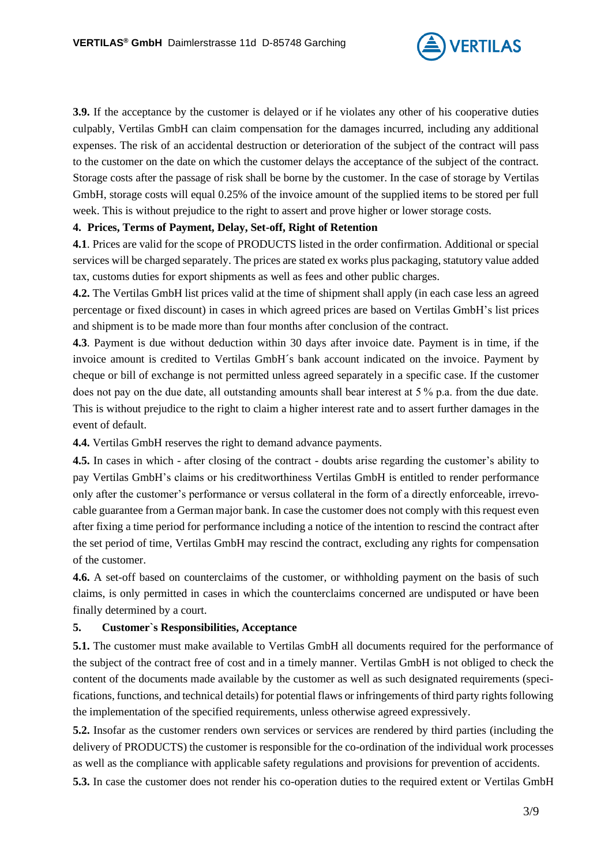

**3.9.** If the acceptance by the customer is delayed or if he violates any other of his cooperative duties culpably, Vertilas GmbH can claim compensation for the damages incurred, including any additional expenses. The risk of an accidental destruction or deterioration of the subject of the contract will pass to the customer on the date on which the customer delays the acceptance of the subject of the contract. Storage costs after the passage of risk shall be borne by the customer. In the case of storage by Vertilas GmbH, storage costs will equal 0.25% of the invoice amount of the supplied items to be stored per full week. This is without prejudice to the right to assert and prove higher or lower storage costs.

#### **4. Prices, Terms of Payment, Delay, Set-off, Right of Retention**

**4.1**. Prices are valid for the scope of PRODUCTS listed in the order confirmation. Additional or special services will be charged separately. The prices are stated ex works plus packaging, statutory value added tax, customs duties for export shipments as well as fees and other public charges.

**4.2.** The Vertilas GmbH list prices valid at the time of shipment shall apply (in each case less an agreed percentage or fixed discount) in cases in which agreed prices are based on Vertilas GmbH's list prices and shipment is to be made more than four months after conclusion of the contract.

**4.3**. Payment is due without deduction within 30 days after invoice date. Payment is in time, if the invoice amount is credited to Vertilas GmbH´s bank account indicated on the invoice. Payment by cheque or bill of exchange is not permitted unless agreed separately in a specific case. If the customer does not pay on the due date, all outstanding amounts shall bear interest at 5 % p.a. from the due date. This is without prejudice to the right to claim a higher interest rate and to assert further damages in the event of default.

**4.4.** Vertilas GmbH reserves the right to demand advance payments.

**4.5.** In cases in which - after closing of the contract - doubts arise regarding the customer's ability to pay Vertilas GmbH's claims or his creditworthiness Vertilas GmbH is entitled to render performance only after the customer's performance or versus collateral in the form of a directly enforceable, irrevocable guarantee from a German major bank. In case the customer does not comply with this request even after fixing a time period for performance including a notice of the intention to rescind the contract after the set period of time, Vertilas GmbH may rescind the contract, excluding any rights for compensation of the customer.

**4.6.** A set-off based on counterclaims of the customer, or withholding payment on the basis of such claims, is only permitted in cases in which the counterclaims concerned are undisputed or have been finally determined by a court.

## **5. Customer`s Responsibilities, Acceptance**

**5.1.** The customer must make available to Vertilas GmbH all documents required for the performance of the subject of the contract free of cost and in a timely manner. Vertilas GmbH is not obliged to check the content of the documents made available by the customer as well as such designated requirements (specifications, functions, and technical details) for potential flaws or infringements of third party rights following the implementation of the specified requirements, unless otherwise agreed expressively.

**5.2.** Insofar as the customer renders own services or services are rendered by third parties (including the delivery of PRODUCTS) the customer is responsible for the co-ordination of the individual work processes as well as the compliance with applicable safety regulations and provisions for prevention of accidents.

**5.3.** In case the customer does not render his co-operation duties to the required extent or Vertilas GmbH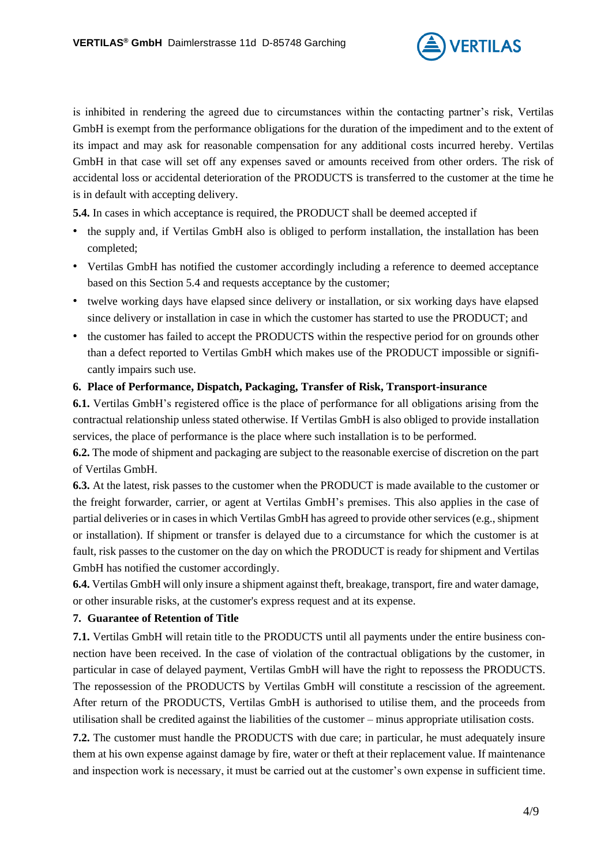

is inhibited in rendering the agreed due to circumstances within the contacting partner's risk, Vertilas GmbH is exempt from the performance obligations for the duration of the impediment and to the extent of its impact and may ask for reasonable compensation for any additional costs incurred hereby. Vertilas GmbH in that case will set off any expenses saved or amounts received from other orders. The risk of accidental loss or accidental deterioration of the PRODUCTS is transferred to the customer at the time he is in default with accepting delivery.

**5.4.** In cases in which acceptance is required, the PRODUCT shall be deemed accepted if

- the supply and, if Vertilas GmbH also is obliged to perform installation, the installation has been completed;
- Vertilas GmbH has notified the customer accordingly including a reference to deemed acceptance based on this Section 5.4 and requests acceptance by the customer;
- twelve working days have elapsed since delivery or installation, or six working days have elapsed since delivery or installation in case in which the customer has started to use the PRODUCT; and
- the customer has failed to accept the PRODUCTS within the respective period for on grounds other than a defect reported to Vertilas GmbH which makes use of the PRODUCT impossible or significantly impairs such use.

## **6. Place of Performance, Dispatch, Packaging, Transfer of Risk, Transport-insurance**

**6.1.** Vertilas GmbH's registered office is the place of performance for all obligations arising from the contractual relationship unless stated otherwise. If Vertilas GmbH is also obliged to provide installation services, the place of performance is the place where such installation is to be performed.

**6.2.** The mode of shipment and packaging are subject to the reasonable exercise of discretion on the part of Vertilas GmbH.

**6.3.** At the latest, risk passes to the customer when the PRODUCT is made available to the customer or the freight forwarder, carrier, or agent at Vertilas GmbH's premises. This also applies in the case of partial deliveries or in cases in which Vertilas GmbH has agreed to provide other services (e.g., shipment or installation). If shipment or transfer is delayed due to a circumstance for which the customer is at fault, risk passes to the customer on the day on which the PRODUCT is ready for shipment and Vertilas GmbH has notified the customer accordingly.

**6.4.** Vertilas GmbH will only insure a shipment against theft, breakage, transport, fire and water damage, or other insurable risks, at the customer's express request and at its expense.

## **7. Guarantee of Retention of Title**

**7.1.** Vertilas GmbH will retain title to the PRODUCTS until all payments under the entire business connection have been received. In the case of violation of the contractual obligations by the customer, in particular in case of delayed payment, Vertilas GmbH will have the right to repossess the PRODUCTS. The repossession of the PRODUCTS by Vertilas GmbH will constitute a rescission of the agreement. After return of the PRODUCTS, Vertilas GmbH is authorised to utilise them, and the proceeds from utilisation shall be credited against the liabilities of the customer – minus appropriate utilisation costs.

**7.2.** The customer must handle the PRODUCTS with due care; in particular, he must adequately insure them at his own expense against damage by fire, water or theft at their replacement value. If maintenance and inspection work is necessary, it must be carried out at the customer's own expense in sufficient time.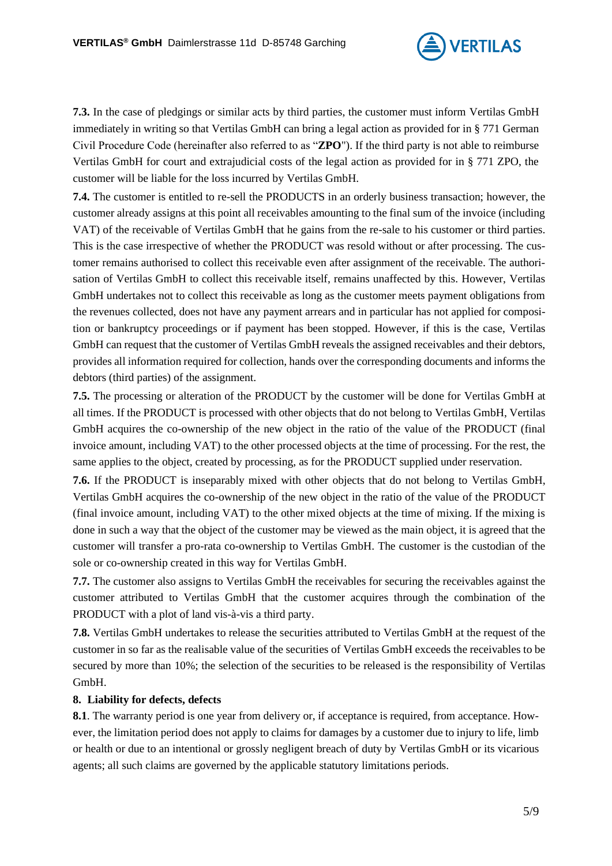

**7.3.** In the case of pledgings or similar acts by third parties, the customer must inform Vertilas GmbH immediately in writing so that Vertilas GmbH can bring a legal action as provided for in § 771 German Civil Procedure Code (hereinafter also referred to as "**ZPO**"). If the third party is not able to reimburse Vertilas GmbH for court and extrajudicial costs of the legal action as provided for in § 771 ZPO, the customer will be liable for the loss incurred by Vertilas GmbH.

**7.4.** The customer is entitled to re-sell the PRODUCTS in an orderly business transaction; however, the customer already assigns at this point all receivables amounting to the final sum of the invoice (including VAT) of the receivable of Vertilas GmbH that he gains from the re-sale to his customer or third parties. This is the case irrespective of whether the PRODUCT was resold without or after processing. The customer remains authorised to collect this receivable even after assignment of the receivable. The authorisation of Vertilas GmbH to collect this receivable itself, remains unaffected by this. However, Vertilas GmbH undertakes not to collect this receivable as long as the customer meets payment obligations from the revenues collected, does not have any payment arrears and in particular has not applied for composition or bankruptcy proceedings or if payment has been stopped. However, if this is the case, Vertilas GmbH can request that the customer of Vertilas GmbH reveals the assigned receivables and their debtors, provides all information required for collection, hands over the corresponding documents and informs the debtors (third parties) of the assignment.

**7.5.** The processing or alteration of the PRODUCT by the customer will be done for Vertilas GmbH at all times. If the PRODUCT is processed with other objects that do not belong to Vertilas GmbH, Vertilas GmbH acquires the co-ownership of the new object in the ratio of the value of the PRODUCT (final invoice amount, including VAT) to the other processed objects at the time of processing. For the rest, the same applies to the object, created by processing, as for the PRODUCT supplied under reservation.

**7.6.** If the PRODUCT is inseparably mixed with other objects that do not belong to Vertilas GmbH, Vertilas GmbH acquires the co-ownership of the new object in the ratio of the value of the PRODUCT (final invoice amount, including VAT) to the other mixed objects at the time of mixing. If the mixing is done in such a way that the object of the customer may be viewed as the main object, it is agreed that the customer will transfer a pro-rata co-ownership to Vertilas GmbH. The customer is the custodian of the sole or co-ownership created in this way for Vertilas GmbH.

**7.7.** The customer also assigns to Vertilas GmbH the receivables for securing the receivables against the customer attributed to Vertilas GmbH that the customer acquires through the combination of the PRODUCT with a plot of land vis-à-vis a third party.

**7.8.** Vertilas GmbH undertakes to release the securities attributed to Vertilas GmbH at the request of the customer in so far as the realisable value of the securities of Vertilas GmbH exceeds the receivables to be secured by more than 10%; the selection of the securities to be released is the responsibility of Vertilas GmbH.

## **8. Liability for defects, defects**

**8.1**. The warranty period is one year from delivery or, if acceptance is required, from acceptance. However, the limitation period does not apply to claims for damages by a customer due to injury to life, limb or health or due to an intentional or grossly negligent breach of duty by Vertilas GmbH or its vicarious agents; all such claims are governed by the applicable statutory limitations periods.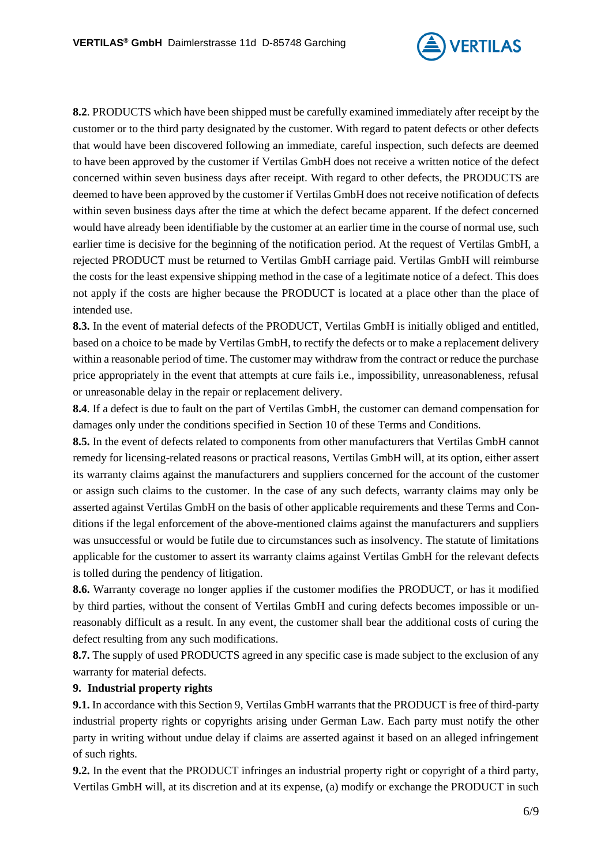

**8.2**. PRODUCTS which have been shipped must be carefully examined immediately after receipt by the customer or to the third party designated by the customer. With regard to patent defects or other defects that would have been discovered following an immediate, careful inspection, such defects are deemed to have been approved by the customer if Vertilas GmbH does not receive a written notice of the defect concerned within seven business days after receipt. With regard to other defects, the PRODUCTS are deemed to have been approved by the customer if Vertilas GmbH does not receive notification of defects within seven business days after the time at which the defect became apparent. If the defect concerned would have already been identifiable by the customer at an earlier time in the course of normal use, such earlier time is decisive for the beginning of the notification period. At the request of Vertilas GmbH, a rejected PRODUCT must be returned to Vertilas GmbH carriage paid. Vertilas GmbH will reimburse the costs for the least expensive shipping method in the case of a legitimate notice of a defect. This does not apply if the costs are higher because the PRODUCT is located at a place other than the place of intended use.

**8.3.** In the event of material defects of the PRODUCT, Vertilas GmbH is initially obliged and entitled, based on a choice to be made by Vertilas GmbH, to rectify the defects or to make a replacement delivery within a reasonable period of time. The customer may withdraw from the contract or reduce the purchase price appropriately in the event that attempts at cure fails i.e., impossibility, unreasonableness, refusal or unreasonable delay in the repair or replacement delivery.

**8.4**. If a defect is due to fault on the part of Vertilas GmbH, the customer can demand compensation for damages only under the conditions specified in Section 10 of these Terms and Conditions.

**8.5.** In the event of defects related to components from other manufacturers that Vertilas GmbH cannot remedy for licensing-related reasons or practical reasons, Vertilas GmbH will, at its option, either assert its warranty claims against the manufacturers and suppliers concerned for the account of the customer or assign such claims to the customer. In the case of any such defects, warranty claims may only be asserted against Vertilas GmbH on the basis of other applicable requirements and these Terms and Conditions if the legal enforcement of the above-mentioned claims against the manufacturers and suppliers was unsuccessful or would be futile due to circumstances such as insolvency. The statute of limitations applicable for the customer to assert its warranty claims against Vertilas GmbH for the relevant defects is tolled during the pendency of litigation.

**8.6.** Warranty coverage no longer applies if the customer modifies the PRODUCT, or has it modified by third parties, without the consent of Vertilas GmbH and curing defects becomes impossible or unreasonably difficult as a result. In any event, the customer shall bear the additional costs of curing the defect resulting from any such modifications.

**8.7.** The supply of used PRODUCTS agreed in any specific case is made subject to the exclusion of any warranty for material defects.

## **9. Industrial property rights**

**9.1.** In accordance with this Section 9, Vertilas GmbH warrants that the PRODUCT is free of third-party industrial property rights or copyrights arising under German Law. Each party must notify the other party in writing without undue delay if claims are asserted against it based on an alleged infringement of such rights.

**9.2.** In the event that the PRODUCT infringes an industrial property right or copyright of a third party, Vertilas GmbH will, at its discretion and at its expense, (a) modify or exchange the PRODUCT in such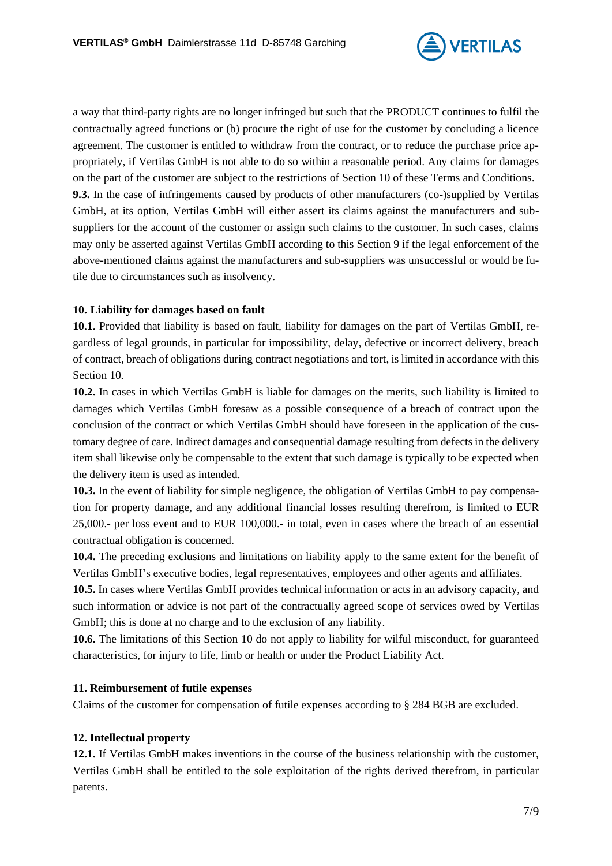

a way that third-party rights are no longer infringed but such that the PRODUCT continues to fulfil the contractually agreed functions or (b) procure the right of use for the customer by concluding a licence agreement. The customer is entitled to withdraw from the contract, or to reduce the purchase price appropriately, if Vertilas GmbH is not able to do so within a reasonable period. Any claims for damages on the part of the customer are subject to the restrictions of Section 10 of these Terms and Conditions. **9.3.** In the case of infringements caused by products of other manufacturers (co-)supplied by Vertilas GmbH, at its option, Vertilas GmbH will either assert its claims against the manufacturers and subsuppliers for the account of the customer or assign such claims to the customer. In such cases, claims may only be asserted against Vertilas GmbH according to this Section 9 if the legal enforcement of the above-mentioned claims against the manufacturers and sub-suppliers was unsuccessful or would be futile due to circumstances such as insolvency.

# **10. Liability for damages based on fault**

**10.1.** Provided that liability is based on fault, liability for damages on the part of Vertilas GmbH, regardless of legal grounds, in particular for impossibility, delay, defective or incorrect delivery, breach of contract, breach of obligations during contract negotiations and tort, is limited in accordance with this Section 10.

**10.2.** In cases in which Vertilas GmbH is liable for damages on the merits, such liability is limited to damages which Vertilas GmbH foresaw as a possible consequence of a breach of contract upon the conclusion of the contract or which Vertilas GmbH should have foreseen in the application of the customary degree of care. Indirect damages and consequential damage resulting from defects in the delivery item shall likewise only be compensable to the extent that such damage is typically to be expected when the delivery item is used as intended.

**10.3.** In the event of liability for simple negligence, the obligation of Vertilas GmbH to pay compensation for property damage, and any additional financial losses resulting therefrom, is limited to EUR 25,000.- per loss event and to EUR 100,000.- in total, even in cases where the breach of an essential contractual obligation is concerned.

**10.4.** The preceding exclusions and limitations on liability apply to the same extent for the benefit of Vertilas GmbH's executive bodies, legal representatives, employees and other agents and affiliates.

**10.5.** In cases where Vertilas GmbH provides technical information or acts in an advisory capacity, and such information or advice is not part of the contractually agreed scope of services owed by Vertilas GmbH; this is done at no charge and to the exclusion of any liability.

**10.6.** The limitations of this Section 10 do not apply to liability for wilful misconduct, for guaranteed characteristics, for injury to life, limb or health or under the Product Liability Act.

## **11. Reimbursement of futile expenses**

Claims of the customer for compensation of futile expenses according to § 284 BGB are excluded.

## **12. Intellectual property**

**12.1.** If Vertilas GmbH makes inventions in the course of the business relationship with the customer, Vertilas GmbH shall be entitled to the sole exploitation of the rights derived therefrom, in particular patents.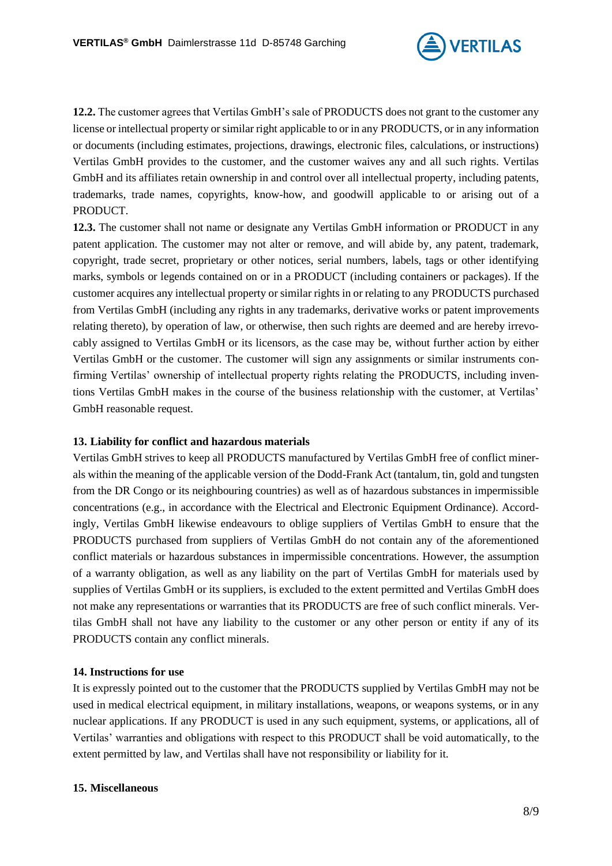

**12.2.** The customer agrees that Vertilas GmbH's sale of PRODUCTS does not grant to the customer any license or intellectual property or similar right applicable to or in any PRODUCTS, or in any information or documents (including estimates, projections, drawings, electronic files, calculations, or instructions) Vertilas GmbH provides to the customer, and the customer waives any and all such rights. Vertilas GmbH and its affiliates retain ownership in and control over all intellectual property, including patents, trademarks, trade names, copyrights, know-how, and goodwill applicable to or arising out of a PRODUCT.

**12.3.** The customer shall not name or designate any Vertilas GmbH information or PRODUCT in any patent application. The customer may not alter or remove, and will abide by, any patent, trademark, copyright, trade secret, proprietary or other notices, serial numbers, labels, tags or other identifying marks, symbols or legends contained on or in a PRODUCT (including containers or packages). If the customer acquires any intellectual property or similar rights in or relating to any PRODUCTS purchased from Vertilas GmbH (including any rights in any trademarks, derivative works or patent improvements relating thereto), by operation of law, or otherwise, then such rights are deemed and are hereby irrevocably assigned to Vertilas GmbH or its licensors, as the case may be, without further action by either Vertilas GmbH or the customer. The customer will sign any assignments or similar instruments confirming Vertilas' ownership of intellectual property rights relating the PRODUCTS, including inventions Vertilas GmbH makes in the course of the business relationship with the customer, at Vertilas' GmbH reasonable request.

## **13. Liability for conflict and hazardous materials**

Vertilas GmbH strives to keep all PRODUCTS manufactured by Vertilas GmbH free of conflict minerals within the meaning of the applicable version of the Dodd-Frank Act (tantalum, tin, gold and tungsten from the DR Congo or its neighbouring countries) as well as of hazardous substances in impermissible concentrations (e.g., in accordance with the Electrical and Electronic Equipment Ordinance). Accordingly, Vertilas GmbH likewise endeavours to oblige suppliers of Vertilas GmbH to ensure that the PRODUCTS purchased from suppliers of Vertilas GmbH do not contain any of the aforementioned conflict materials or hazardous substances in impermissible concentrations. However, the assumption of a warranty obligation, as well as any liability on the part of Vertilas GmbH for materials used by supplies of Vertilas GmbH or its suppliers, is excluded to the extent permitted and Vertilas GmbH does not make any representations or warranties that its PRODUCTS are free of such conflict minerals. Vertilas GmbH shall not have any liability to the customer or any other person or entity if any of its PRODUCTS contain any conflict minerals.

## **14. Instructions for use**

It is expressly pointed out to the customer that the PRODUCTS supplied by Vertilas GmbH may not be used in medical electrical equipment, in military installations, weapons, or weapons systems, or in any nuclear applications. If any PRODUCT is used in any such equipment, systems, or applications, all of Vertilas' warranties and obligations with respect to this PRODUCT shall be void automatically, to the extent permitted by law, and Vertilas shall have not responsibility or liability for it.

## **15. Miscellaneous**